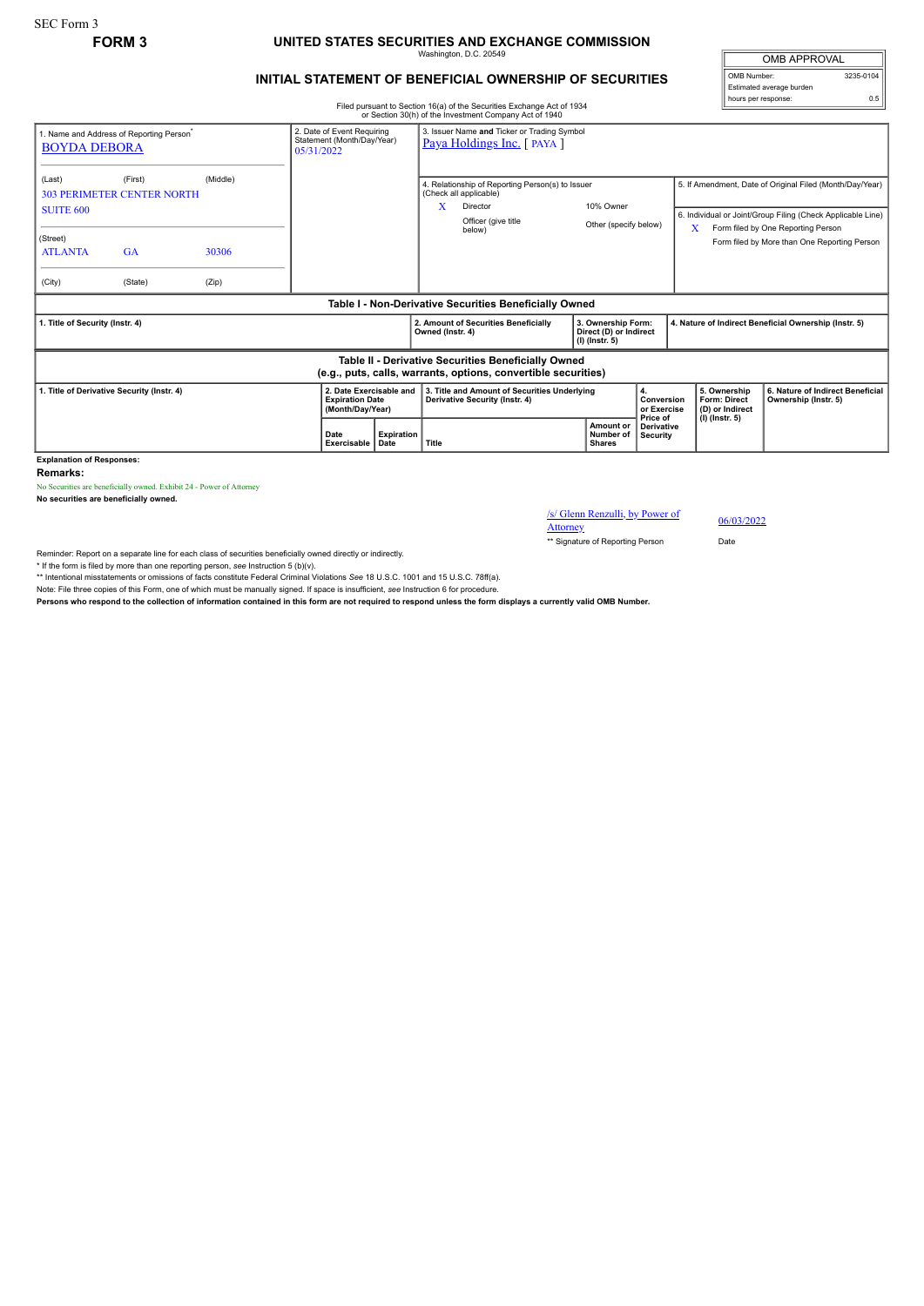# **FORM 3 UNITED STATES SECURITIES AND EXCHANGE COMMISSION**

Washington, D.C. 20549

OMB APPROVAL OMB Number: 3235-0104

Estimated average burden hours per response: 0.5

### **INITIAL STATEMENT OF BENEFICIAL OWNERSHIP OF SECURITIES**

Filed pursuant to Section 16(a) of the Securities Exchange Act of 1934

|                                            |                                                      |                                                                        |      |                                                                          |                                                                                                                    | or Section 30(h) of the Investment Company Act of 1940                                                                |                                         |                                                                  |                                    |                                                                                                                                                                    |                                                        |                                                          |  |
|--------------------------------------------|------------------------------------------------------|------------------------------------------------------------------------|------|--------------------------------------------------------------------------|--------------------------------------------------------------------------------------------------------------------|-----------------------------------------------------------------------------------------------------------------------|-----------------------------------------|------------------------------------------------------------------|------------------------------------|--------------------------------------------------------------------------------------------------------------------------------------------------------------------|--------------------------------------------------------|----------------------------------------------------------|--|
| <b>BOYDA DEBORA</b>                        | 1. Name and Address of Reporting Person <sup>-</sup> | 2. Date of Event Requiring<br>Statement (Month/Day/Year)<br>05/31/2022 |      | 3. Issuer Name and Ticker or Trading Symbol<br>Paya Holdings Inc. [PAYA] |                                                                                                                    |                                                                                                                       |                                         |                                                                  |                                    |                                                                                                                                                                    |                                                        |                                                          |  |
| (Last)<br><b>SUITE 600</b>                 | (First)<br><b>303 PERIMETER CENTER NORTH</b>         | (Middle)                                                               |      |                                                                          | 4. Relationship of Reporting Person(s) to Issuer<br>(Check all applicable)<br>x<br>Director<br>Officer (give title |                                                                                                                       | 10% Owner<br>Other (specify below)      |                                                                  |                                    | 5. If Amendment, Date of Original Filed (Month/Day/Year)<br>6. Individual or Joint/Group Filing (Check Applicable Line)<br>Form filed by One Reporting Person<br>X |                                                        |                                                          |  |
| (Street)<br><b>ATLANTA</b>                 | <b>GA</b>                                            | 30306                                                                  |      |                                                                          |                                                                                                                    | below)                                                                                                                |                                         |                                                                  |                                    |                                                                                                                                                                    |                                                        | Form filed by More than One Reporting Person             |  |
| (City)                                     | (State)                                              | (Zip)                                                                  |      |                                                                          |                                                                                                                    |                                                                                                                       |                                         |                                                                  |                                    |                                                                                                                                                                    |                                                        |                                                          |  |
|                                            |                                                      |                                                                        |      |                                                                          |                                                                                                                    | Table I - Non-Derivative Securities Beneficially Owned                                                                |                                         |                                                                  |                                    |                                                                                                                                                                    |                                                        |                                                          |  |
| 1. Title of Security (Instr. 4)            |                                                      |                                                                        |      |                                                                          | Owned (Instr. 4)                                                                                                   | 2. Amount of Securities Beneficially                                                                                  |                                         | 3. Ownership Form:<br>Direct (D) or Indirect<br>$(I)$ (Instr. 5) |                                    |                                                                                                                                                                    | 4. Nature of Indirect Beneficial Ownership (Instr. 5)  |                                                          |  |
|                                            |                                                      |                                                                        |      |                                                                          |                                                                                                                    | Table II - Derivative Securities Beneficially Owned<br>(e.g., puts, calls, warrants, options, convertible securities) |                                         |                                                                  |                                    |                                                                                                                                                                    |                                                        |                                                          |  |
| 1. Title of Derivative Security (Instr. 4) |                                                      |                                                                        |      | 2. Date Exercisable and<br><b>Expiration Date</b><br>(Month/Day/Year)    |                                                                                                                    | 3. Title and Amount of Securities Underlying<br>Derivative Security (Instr. 4)                                        |                                         |                                                                  | 4.<br>Conversion<br>or Exercise    |                                                                                                                                                                    | 5. Ownership<br><b>Form: Direct</b><br>(D) or Indirect | 6. Nature of Indirect Beneficial<br>Ownership (Instr. 5) |  |
|                                            |                                                      |                                                                        | Date | Expiration<br>Exercisable<br>Date                                        | Title                                                                                                              |                                                                                                                       | Amount or<br>Number of<br><b>Shares</b> |                                                                  | Price of<br>Derivative<br>Security |                                                                                                                                                                    | $(I)$ (lnstr. 5)                                       |                                                          |  |

**Explanation of Responses:**

**Remarks:**

No Securities are beneficially owned. Exhibit 24 - Power of Attorney

**No securities are beneficially owned.**

/s/ Glenn Renzulli, by Power of Attorney 06/03/2022

\*\* Signature of Reporting Person Date

Reminder: Report on a separate line for each class of securities beneficially owned directly or indirectly.

\* If the form is filed by more than one reporting person, *see* Instruction 5 (b)(v).

\*\* Intentional misstatements or omissions of facts constitute Federal Criminal Violations *See* 18 U.S.C. 1001 and 15 U.S.C. 78ff(a).

Note: File three copies of this Form, one of which must be manually signed. If space is insufficient, see Instruction 6 for procedure.<br>Persons who respond to the collection of information contained in this form are not req